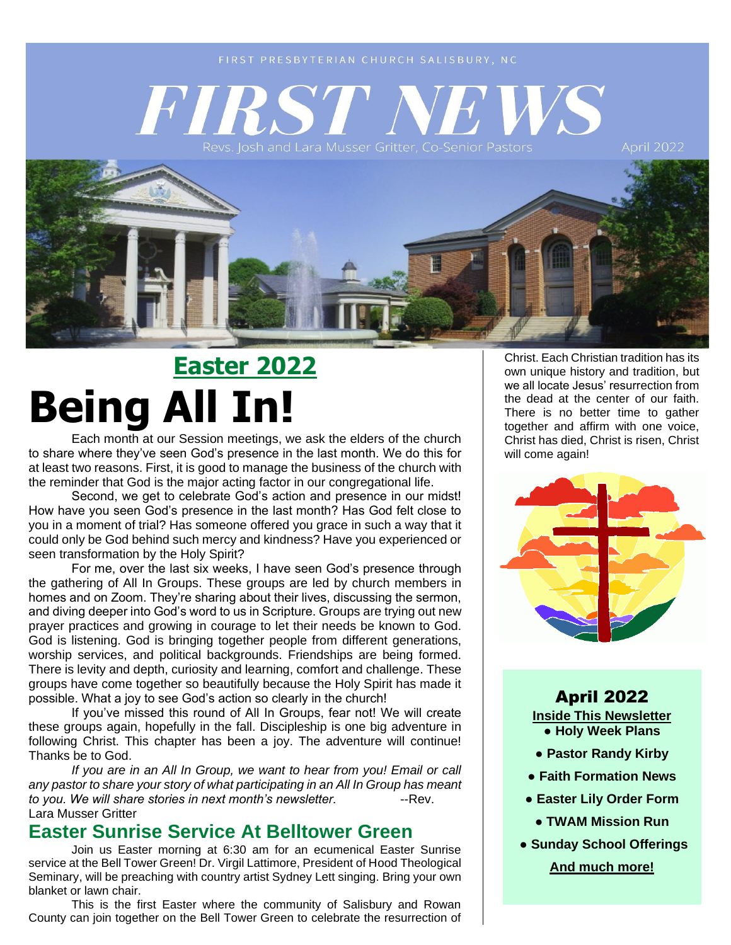**April 2022** 



# **Easter 2022 Being All In!**

Each month at our Session meetings, we ask the elders of the church to share where they've seen God's presence in the last month. We do this for at least two reasons. First, it is good to manage the business of the church with the reminder that God is the major acting factor in our congregational life.

Second, we get to celebrate God's action and presence in our midst! How have you seen God's presence in the last month? Has God felt close to you in a moment of trial? Has someone offered you grace in such a way that it could only be God behind such mercy and kindness? Have you experienced or seen transformation by the Holy Spirit?

For me, over the last six weeks, I have seen God's presence through the gathering of All In Groups. These groups are led by church members in homes and on Zoom. They're sharing about their lives, discussing the sermon, and diving deeper into God's word to us in Scripture. Groups are trying out new prayer practices and growing in courage to let their needs be known to God. God is listening. God is bringing together people from different generations, worship services, and political backgrounds. Friendships are being formed. There is levity and depth, curiosity and learning, comfort and challenge. These groups have come together so beautifully because the Holy Spirit has made it possible. What a joy to see God's action so clearly in the church!

If you've missed this round of All In Groups, fear not! We will create these groups again, hopefully in the fall. Discipleship is one big adventure in following Christ. This chapter has been a joy. The adventure will continue! Thanks be to God.

*If you are in an All In Group, we want to hear from you! Email or call any pastor to share your story of what participating in an All In Group has meant*  to you. We will share stories in next month's newsletter. **Fig. 1. 1. 1. Fig. 2.** Rev. Lara Musser Gritter

#### **Easter Sunrise Service At Belltower Green**

Join us Easter morning at 6:30 am for an ecumenical Easter Sunrise service at the Bell Tower Green! Dr. Virgil Lattimore, President of Hood Theological Seminary, will be preaching with country artist Sydney Lett singing. Bring your own blanket or lawn chair.

This is the first Easter where the community of Salisbury and Rowan County can join together on the Bell Tower Green to celebrate the resurrection of Christ. Each Christian tradition has its own unique history and tradition, but we all locate Jesus' resurrection from the dead at the center of our faith. There is no better time to gather together and affirm with one voice, Christ has died, Christ is risen, Christ will come again!



April 2022 **Inside This Newsletter** ● **Holy Week Plans**

- **Pastor Randy Kirby**
- **Faith Formation News**
- **Easter Lily Order Form**
	- **TWAM Mission Run**
- **● Sunday School Offerings**

**And much more!**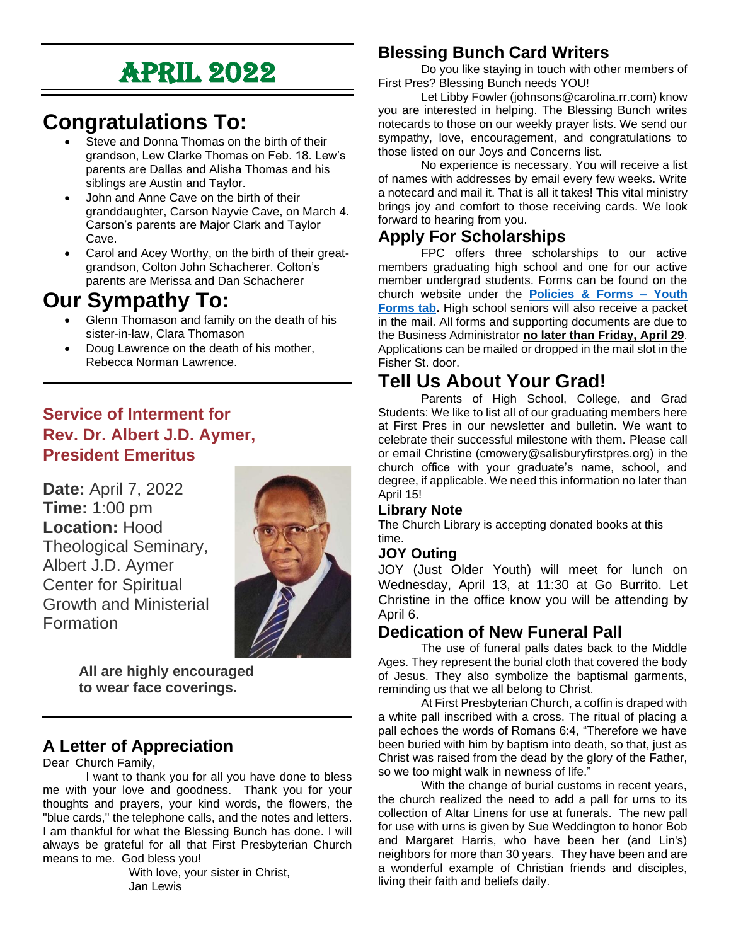# April 2022

## **Congratulations To:**

- Steve and Donna Thomas on the birth of their grandson, Lew Clarke Thomas on Feb. 18. Lew's parents are Dallas and Alisha Thomas and his siblings are Austin and Taylor.
- John and Anne Cave on the birth of their granddaughter, Carson Nayvie Cave, on March 4. Carson's parents are Major Clark and Taylor Cave.
- Carol and Acey Worthy, on the birth of their greatgrandson, Colton John Schacherer. Colton's parents are Merissa and Dan Schacherer

## **Our Sympathy To:**

- Glenn Thomason and family on the death of his sister-in-law, Clara Thomason
- Doug Lawrence on the death of his mother, Rebecca Norman Lawrence.

#### **Service of Interment for Rev. Dr. Albert J.D. Aymer, President Emeritus**

**Date:** April 7, 2022 **Time:** 1:00 pm **Location:** Hood Theological Seminary, Albert J.D. Aymer Center for Spiritual Growth and Ministerial Formation



**All are highly encouraged to wear face coverings.**

#### **A Letter of Appreciation**

Dear Church Family,

I want to thank you for all you have done to bless me with your love and goodness. Thank you for your thoughts and prayers, your kind words, the flowers, the "blue cards," the telephone calls, and the notes and letters. I am thankful for what the Blessing Bunch has done. I will always be grateful for all that First Presbyterian Church means to me. God bless you!

With love, your sister in Christ, Jan Lewis

#### **Blessing Bunch Card Writers**

Do you like staying in touch with other members of First Pres? Blessing Bunch needs YOU!

Let Libby Fowler (johnsons@carolina.rr.com) know you are interested in helping. The Blessing Bunch writes notecards to those on our weekly prayer lists. We send our sympathy, love, encouragement, and congratulations to those listed on our Joys and Concerns list.

No experience is necessary. You will receive a list of names with addresses by email every few weeks. Write a notecard and mail it. That is all it takes! This vital ministry brings joy and comfort to those receiving cards. We look forward to hearing from you.

#### **Apply For Scholarships**

FPC offers three scholarships to our active members graduating high school and one for our active member undergrad students. Forms can be found on the church website under the **[Policies & Forms –](https://www.salisburyfirstpres.org/youth-forms) Youth [Forms tab.](https://www.salisburyfirstpres.org/youth-forms)** High school seniors will also receive a packet in the mail. All forms and supporting documents are due to the Business Administrator **no later than Friday, April 29**. Applications can be mailed or dropped in the mail slot in the Fisher St. door.

### **Tell Us About Your Grad!**

Parents of High School, College, and Grad Students: We like to list all of our graduating members here at First Pres in our newsletter and bulletin. We want to celebrate their successful milestone with them. Please call or email Christine (cmowery@salisburyfirstpres.org) in the church office with your graduate's name, school, and degree, if applicable. We need this information no later than April 15!

#### **Library Note**

The Church Library is accepting donated books at this time.

#### **JOY Outing**

JOY (Just Older Youth) will meet for lunch on Wednesday, April 13, at 11:30 at Go Burrito. Let Christine in the office know you will be attending by April 6.

#### **Dedication of New Funeral Pall**

The use of funeral palls dates back to the Middle Ages. They represent the burial cloth that covered the body of Jesus. They also symbolize the baptismal garments, reminding us that we all belong to Christ.

At First Presbyterian Church, a coffin is draped with a white pall inscribed with a cross. The ritual of placing a pall echoes the words of Romans 6:4, "Therefore we have been buried with him by baptism into death, so that, just as Christ was raised from the dead by the glory of the Father, so we too might walk in newness of life."

With the change of burial customs in recent years, the church realized the need to add a pall for urns to its collection of Altar Linens for use at funerals. The new pall for use with urns is given by Sue Weddington to honor Bob and Margaret Harris, who have been her (and Lin's) neighbors for more than 30 years. They have been and are a wonderful example of Christian friends and disciples, living their faith and beliefs daily.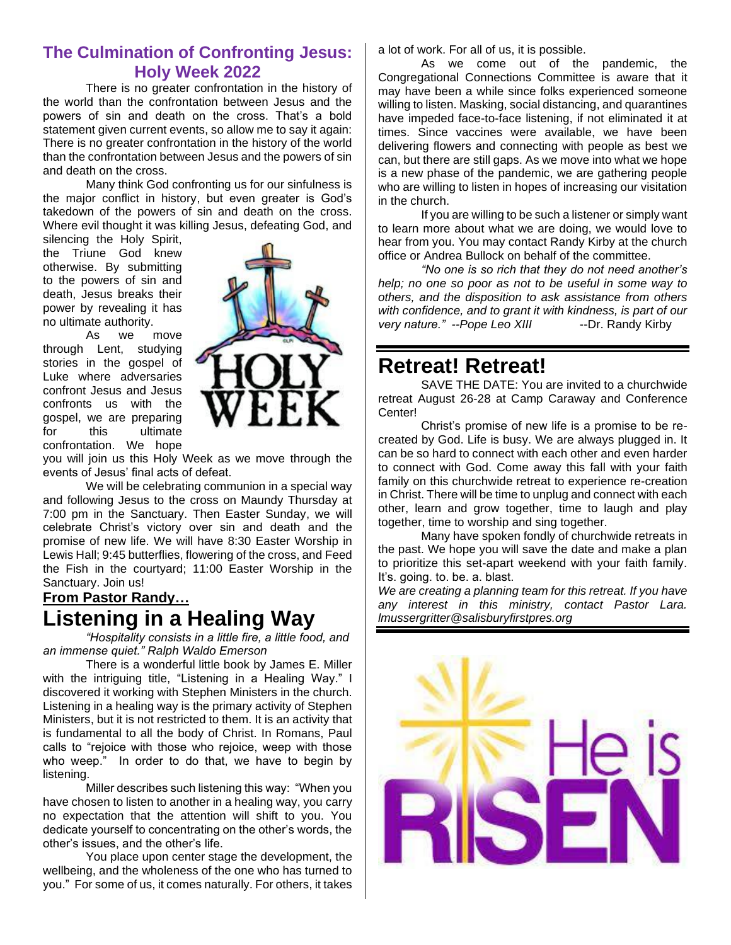#### **The Culmination of Confronting Jesus: Holy Week 2022**

There is no greater confrontation in the history of the world than the confrontation between Jesus and the powers of sin and death on the cross. That's a bold statement given current events, so allow me to say it again: There is no greater confrontation in the history of the world than the confrontation between Jesus and the powers of sin and death on the cross.

Many think God confronting us for our sinfulness is the major conflict in history, but even greater is God's takedown of the powers of sin and death on the cross. Where evil thought it was killing Jesus, defeating God, and

silencing the Holy Spirit, the Triune God knew otherwise. By submitting to the powers of sin and death, Jesus breaks their power by revealing it has no ultimate authority.

As we move through Lent, studying stories in the gospel of Luke where adversaries confront Jesus and Jesus confronts us with the gospel, we are preparing for this ultimate confrontation. We hope



you will join us this Holy Week as we move through the events of Jesus' final acts of defeat.

We will be celebrating communion in a special way and following Jesus to the cross on Maundy Thursday at 7:00 pm in the Sanctuary. Then Easter Sunday, we will celebrate Christ's victory over sin and death and the promise of new life. We will have 8:30 Easter Worship in Lewis Hall; 9:45 butterflies, flowering of the cross, and Feed the Fish in the courtyard; 11:00 Easter Worship in the Sanctuary. Join us!

#### **From Pastor Randy… Listening in a Healing Way**

*"Hospitality consists in a little fire, a little food, and an immense quiet." Ralph Waldo Emerson*

There is a wonderful little book by James E. Miller with the intriguing title, "Listening in a Healing Way." I discovered it working with Stephen Ministers in the church. Listening in a healing way is the primary activity of Stephen Ministers, but it is not restricted to them. It is an activity that is fundamental to all the body of Christ. In Romans, Paul calls to "rejoice with those who rejoice, weep with those who weep." In order to do that, we have to begin by listening.

Miller describes such listening this way: "When you have chosen to listen to another in a healing way, you carry no expectation that the attention will shift to you. You dedicate yourself to concentrating on the other's words, the other's issues, and the other's life.

You place upon center stage the development, the wellbeing, and the wholeness of the one who has turned to you." For some of us, it comes naturally. For others, it takes a lot of work. For all of us, it is possible.

As we come out of the pandemic, the Congregational Connections Committee is aware that it may have been a while since folks experienced someone willing to listen. Masking, social distancing, and quarantines have impeded face-to-face listening, if not eliminated it at times. Since vaccines were available, we have been delivering flowers and connecting with people as best we can, but there are still gaps. As we move into what we hope is a new phase of the pandemic, we are gathering people who are willing to listen in hopes of increasing our visitation in the church.

If you are willing to be such a listener or simply want to learn more about what we are doing, we would love to hear from you. You may contact Randy Kirby at the church office or Andrea Bullock on behalf of the committee.

*"No one is so rich that they do not need another's help; no one so poor as not to be useful in some way to others, and the disposition to ask assistance from others with confidence, and to grant it with kindness, is part of our very nature." --Pope Leo XIII* ---Dr. Randy Kirby

#### **Retreat! Retreat!**

SAVE THE DATE: You are invited to a churchwide retreat August 26-28 at Camp Caraway and Conference Center!

Christ's promise of new life is a promise to be recreated by God. Life is busy. We are always plugged in. It can be so hard to connect with each other and even harder to connect with God. Come away this fall with your faith family on this churchwide retreat to experience re-creation in Christ. There will be time to unplug and connect with each other, learn and grow together, time to laugh and play together, time to worship and sing together.

Many have spoken fondly of churchwide retreats in the past. We hope you will save the date and make a plan to prioritize this set-apart weekend with your faith family. It's. going. to. be. a. blast.

*We are creating a planning team for this retreat. If you have any interest in this ministry, contact Pastor Lara. lmussergritter@salisburyfirstpres.org*

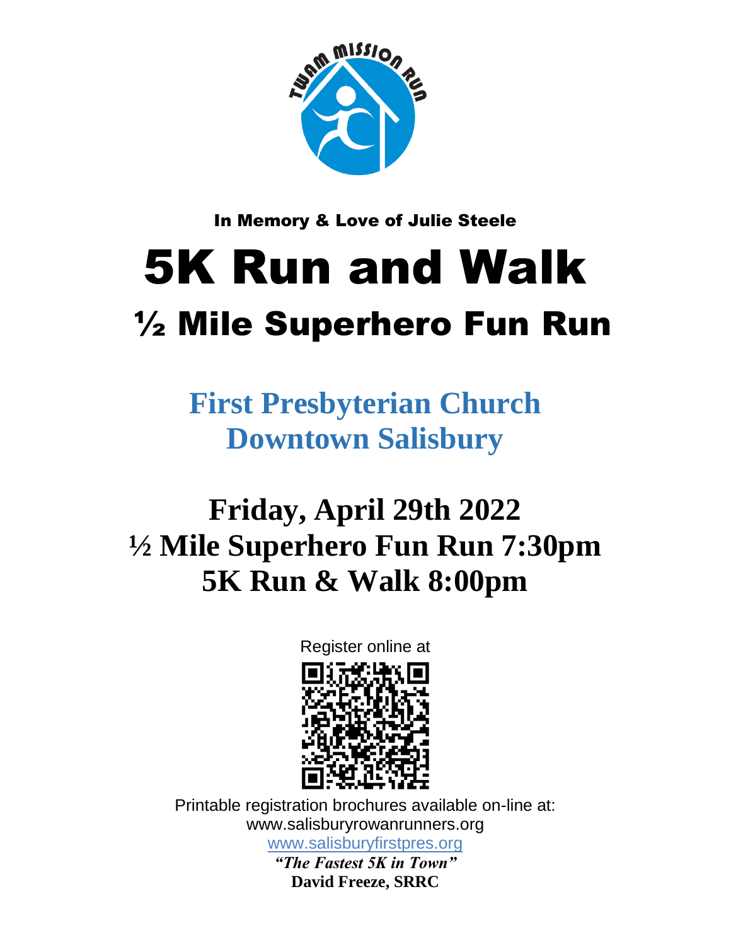

In Memory & Love of Julie Steele

# 5K Run and Walk ½ Mile Superhero Fun Run

**First Presbyterian Church Downtown Salisbury** 

# **Friday, April 29th 2022 ½ Mile Superhero Fun Run 7:30pm 5K Run & Walk 8:00pm**

Register online at



Printable registration brochures available on-line at: www.salisburyrowanrunners.org [www.salisburyfirstpres.org](http://www.salisburyfirstpres.org/) *"The Fastest 5K in Town"*

**David Freeze, SRRC**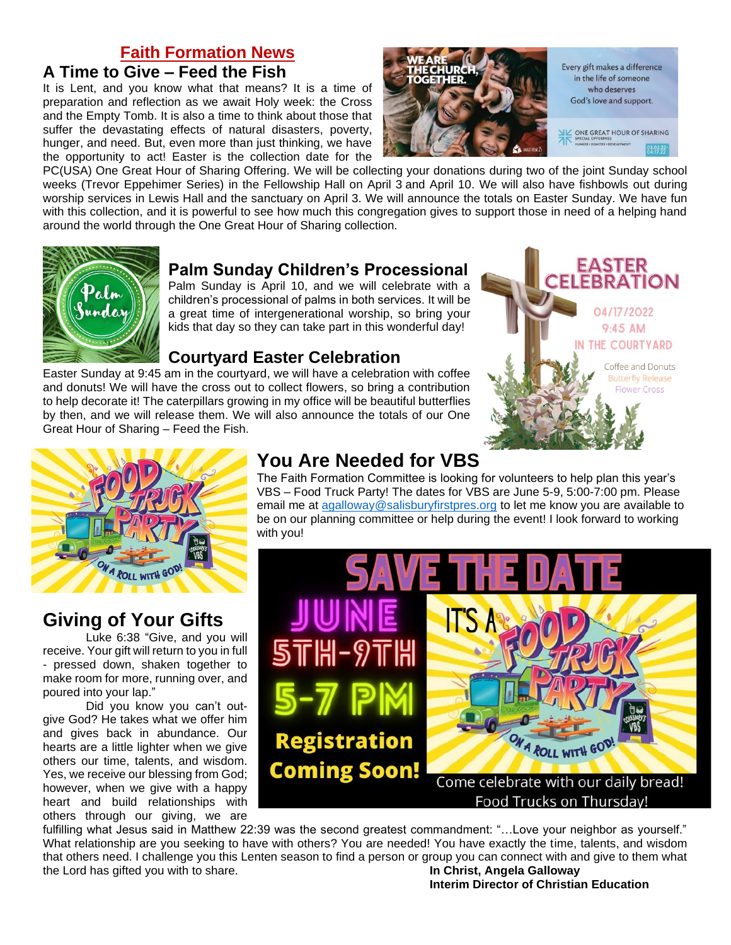#### **Faith Formation News**

#### **A Time to Give – Feed the Fish**

It is Lent, and you know what that means? It is a time of preparation and reflection as we await Holy week: the Cross and the Empty Tomb. It is also a time to think about those that suffer the devastating effects of natural disasters, poverty, hunger, and need. But, even more than just thinking, we have the opportunity to act! Easter is the collection date for the



PC(USA) One Great Hour of Sharing Offering. We will be collecting your donations during two of the joint Sunday school weeks (Trevor Eppehimer Series) in the Fellowship Hall on April 3 and April 10. We will also have fishbowls out during worship services in Lewis Hall and the sanctuary on April 3. We will announce the totals on Easter Sunday. We have fun with this collection, and it is powerful to see how much this congregation gives to support those in need of a helping hand around the world through the One Great Hour of Sharing collection.



#### **Palm Sunday Children's Processional**

Palm Sunday is April 10, and we will celebrate with a children's processional of palms in both services. It will be a great time of intergenerational worship, so bring your kids that day so they can take part in this wonderful day!

#### **Courtyard Easter Celebration**

Easter Sunday at 9:45 am in the courtyard, we will have a celebration with coffee and donuts! We will have the cross out to collect flowers, so bring a contribution to help decorate it! The caterpillars growing in my office will be beautiful butterflies by then, and we will release them. We will also announce the totals of our One Great Hour of Sharing – Feed the Fish.





#### **Giving of Your Gifts**

Luke 6:38 "Give, and you will receive. Your gift will return to you in full - pressed down, shaken together to make room for more, running over, and poured into your lap."

Did you know you can't outgive God? He takes what we offer him and gives back in abundance. Our hearts are a little lighter when we give others our time, talents, and wisdom. Yes, we receive our blessing from God; however, when we give with a happy heart and build relationships with others through our giving, we are

#### **You Are Needed for VBS**

The Faith Formation Committee is looking for volunteers to help plan this year's VBS – Food Truck Party! The dates for VBS are June 5-9, 5:00-7:00 pm. Please email me at [agalloway@salisburyfirstpres.org](mailto:agalloway@salisburyfirstpres.org) to let me know you are available to be on our planning committee or help during the event! I look forward to working with you!



fulfilling what Jesus said in Matthew 22:39 was the second greatest commandment: "…Love your neighbor as yourself." What relationship are you seeking to have with others? You are needed! You have exactly the time, talents, and wisdom that others need. I challenge you this Lenten season to find a person or group you can connect with and give to them what the Lord has gifted you with to share. **In Christ, Angela Galloway**

**Interim Director of Christian Education**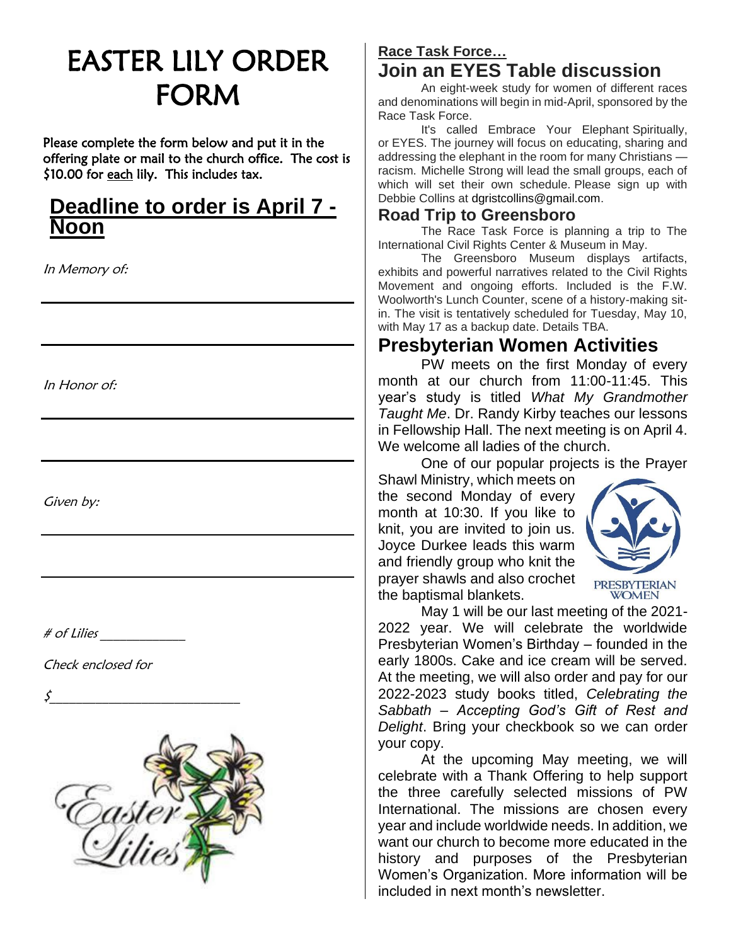# EASTER LILY ORDER FORM

Please complete the form below and put it in the offering plate or mail to the church office. The cost is \$10.00 for each lily. This includes tax.

#### **Deadline to order is April 7 - Noon**

In Memory of:

In Honor of:

Given by:

 $\#$  of Lilies

Check enclosed for

\$\_\_\_\_\_\_\_\_\_\_\_\_\_\_\_\_\_\_\_\_\_\_\_\_\_\_\_\_\_



#### **Race Task Force… Join an EYES Table discussion**

An eight-week study for women of different races and denominations will begin in mid-April, sponsored by the Race Task Force.

It's called Embrace Your Elephant Spiritually, or EYES. The journey will focus on educating, sharing and addressing the elephant in the room for many Christians racism. Michelle Strong will lead the small groups, each of which will set their own schedule. Please sign up with Debbie Collins at dgristcollins@gmail.com.

#### **Road Trip to Greensboro**

The Race Task Force is planning a trip to The International Civil Rights Center & Museum in May.

The Greensboro Museum displays artifacts, exhibits and powerful narratives related to the Civil Rights Movement and ongoing efforts. Included is the F.W. Woolworth's Lunch Counter, scene of a history-making sitin. The visit is tentatively scheduled for Tuesday, May 10, with May 17 as a backup date. Details TBA.

#### **Presbyterian Women Activities**

PW meets on the first Monday of every month at our church from 11:00-11:45. This year's study is titled *What My Grandmother Taught Me*. Dr. Randy Kirby teaches our lessons in Fellowship Hall. The next meeting is on April 4. We welcome all ladies of the church.

One of our popular projects is the Prayer

Shawl Ministry, which meets on the second Monday of every month at 10:30. If you like to knit, you are invited to join us. Joyce Durkee leads this warm and friendly group who knit the prayer shawls and also crochet the baptismal blankets.



May 1 will be our last meeting of the 2021- 2022 year. We will celebrate the worldwide Presbyterian Women's Birthday – founded in the early 1800s. Cake and ice cream will be served. At the meeting, we will also order and pay for our 2022-2023 study books titled, *Celebrating the Sabbath – Accepting God's Gift of Rest and Delight*. Bring your checkbook so we can order your copy.

At the upcoming May meeting, we will celebrate with a Thank Offering to help support the three carefully selected missions of PW International. The missions are chosen every year and include worldwide needs. In addition, we want our church to become more educated in the history and purposes of the Presbyterian Women's Organization. More information will be included in next month's newsletter.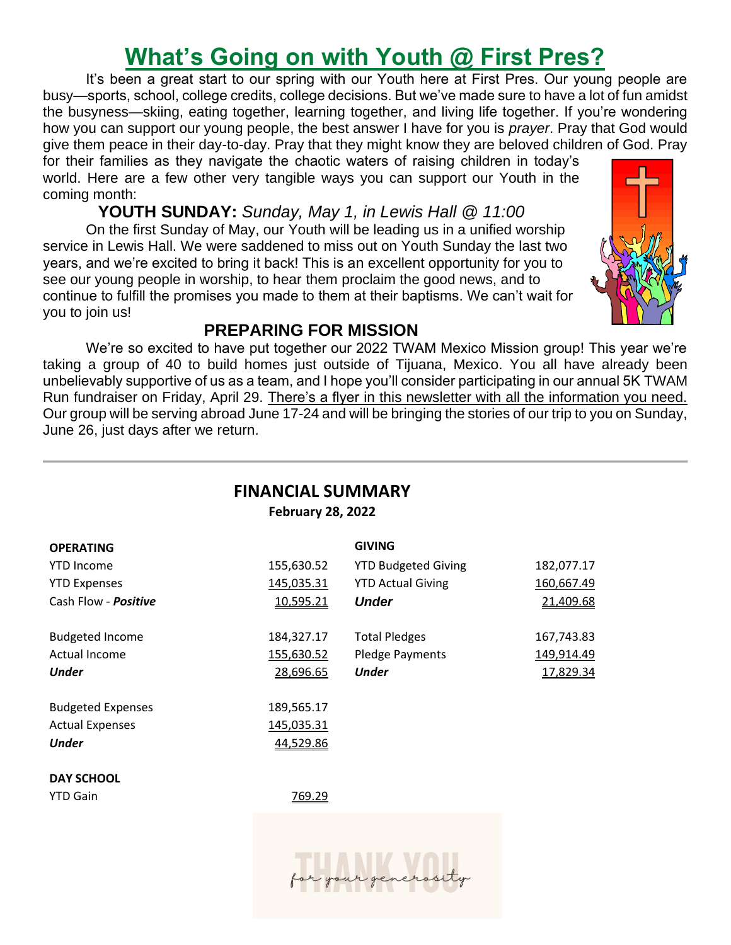## **What's Going on with Youth @ First Pres?**

It's been a great start to our spring with our Youth here at First Pres. Our young people are busy—sports, school, college credits, college decisions. But we've made sure to have a lot of fun amidst the busyness—skiing, eating together, learning together, and living life together. If you're wondering how you can support our young people, the best answer I have for you is *prayer*. Pray that God would give them peace in their day-to-day. Pray that they might know they are beloved children of God. Pray for their families as they navigate the chaotic waters of raising children in today's

world. Here are a few other very tangible ways you can support our Youth in the coming month:

**YOUTH SUNDAY:** *Sunday, May 1, in Lewis Hall @ 11:00*

On the first Sunday of May, our Youth will be leading us in a unified worship service in Lewis Hall. We were saddened to miss out on Youth Sunday the last two years, and we're excited to bring it back! This is an excellent opportunity for you to see our young people in worship, to hear them proclaim the good news, and to continue to fulfill the promises you made to them at their baptisms. We can't wait for you to join us!



#### **PREPARING FOR MISSION**

We're so excited to have put together our 2022 TWAM Mexico Mission group! This year we're taking a group of 40 to build homes just outside of Tijuana, Mexico. You all have already been unbelievably supportive of us as a team, and I hope you'll consider participating in our annual 5K TWAM Run fundraiser on Friday, April 29. There's a flyer in this newsletter with all the information you need. Our group will be serving abroad June 17-24 and will be bringing the stories of our trip to you on Sunday, June 26, just days after we return.

#### **FINANCIAL SUMMARY**

**February 28, 2022**

| <b>OPERATING</b>         |            | <b>GIVING</b>              |            |
|--------------------------|------------|----------------------------|------------|
| <b>YTD Income</b>        | 155,630.52 | <b>YTD Budgeted Giving</b> | 182,077.17 |
| <b>YTD Expenses</b>      | 145,035.31 | <b>YTD Actual Giving</b>   | 160,667.49 |
| Cash Flow - Positive     | 10,595.21  | <b>Under</b>               | 21,409.68  |
| <b>Budgeted Income</b>   | 184,327.17 | <b>Total Pledges</b>       | 167,743.83 |
| Actual Income            | 155,630.52 | <b>Pledge Payments</b>     | 149,914.49 |
| <b>Under</b>             | 28,696.65  | <b>Under</b>               | 17,829.34  |
| <b>Budgeted Expenses</b> | 189,565.17 |                            |            |
| <b>Actual Expenses</b>   | 145,035.31 |                            |            |
| <b>Under</b>             | 44,529.86  |                            |            |
| <b>DAY SCHOOL</b>        |            |                            |            |
| <b>YTD Gain</b>          | 769.29     |                            |            |
|                          |            |                            |            |